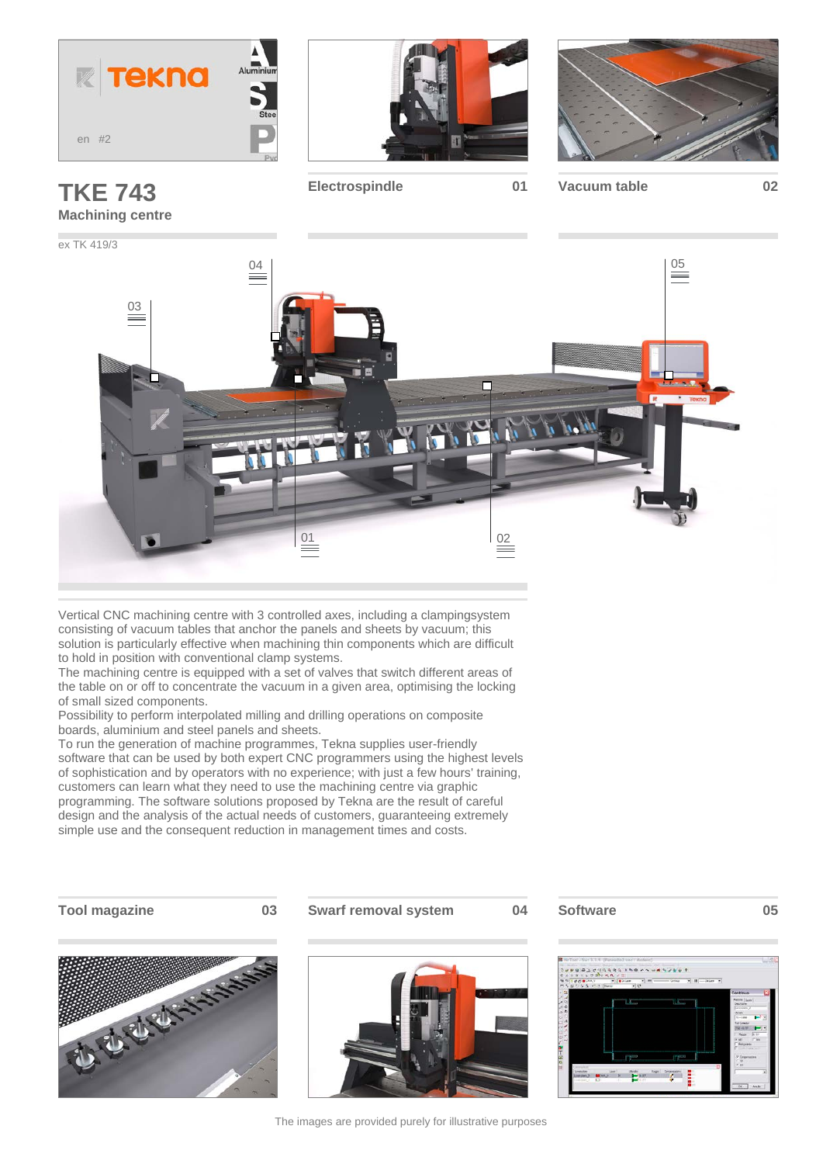







**Electrospindle 01 Vacuum table 02**



Vertical CNC machining centre with 3 controlled axes, including a clampingsystem consisting of vacuum tables that anchor the panels and sheets by vacuum; this solution is particularly effective when machining thin components which are difficult to hold in position with conventional clamp systems.

The machining centre is equipped with a set of valves that switch different areas of the table on or off to concentrate the vacuum in a given area, optimising the locking of small sized components.

Possibility to perform interpolated milling and drilling operations on composite boards, aluminium and steel panels and sheets.

To run the generation of machine programmes, Tekna supplies user-friendly software that can be used by both expert CNC programmers using the highest levels of sophistication and by operators with no experience; with just a few hours' training, customers can learn what they need to use the machining centre via graphic programming. The software solutions proposed by Tekna are the result of careful design and the analysis of the actual needs of customers, guaranteeing extremely simple use and the consequent reduction in management times and costs.

**Tool magazine 03 Swarf removal system 04 Software 05**







The images are provided purely for illustrative purposes